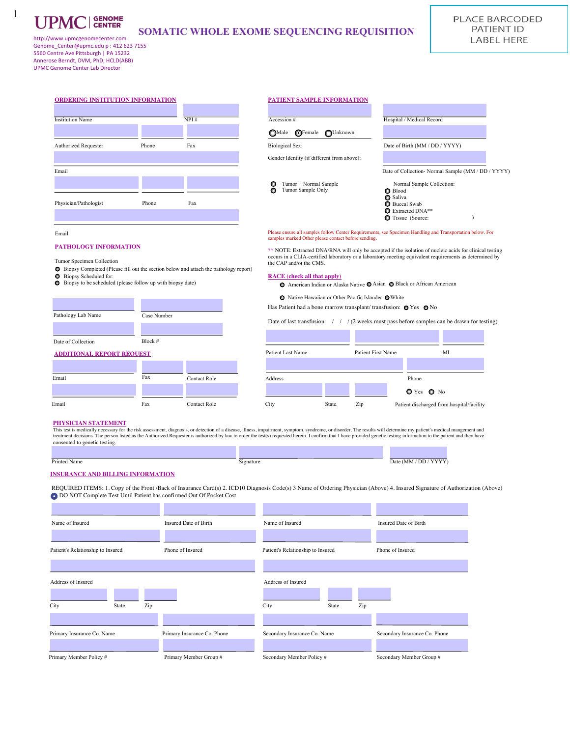1

# **SOMATIC WHOLE EXOME SEQUENCING REQUISITION** http://www.upmcgenomecenter.com SOMATIC WHOLE EXOME SEQUENCING REQUISITION

Genome\_Center@upmc.edu p : 412 623 7155 5560 Centre Ave Pittsburgh | PA 15232 Annerose Berndt, DVM, PhD, HCLD(ABB) UPMC Genome Center Lab Director

| <b>Institution Name</b>                                                                                                                                                           |             | NPI#                                                                                          | Hospital / Medical Record<br>Accession #                                                                                                                                                                                                                                                                                                                                                                                                                                                                                                                                                                                                                    |
|-----------------------------------------------------------------------------------------------------------------------------------------------------------------------------------|-------------|-----------------------------------------------------------------------------------------------|-------------------------------------------------------------------------------------------------------------------------------------------------------------------------------------------------------------------------------------------------------------------------------------------------------------------------------------------------------------------------------------------------------------------------------------------------------------------------------------------------------------------------------------------------------------------------------------------------------------------------------------------------------------|
|                                                                                                                                                                                   |             |                                                                                               | $\bigcirc$ Female<br>∩Male<br><b>OUnknown</b>                                                                                                                                                                                                                                                                                                                                                                                                                                                                                                                                                                                                               |
| <b>Authorized Requester</b>                                                                                                                                                       | Phone       | Fax                                                                                           | <b>Biological Sex:</b><br>Date of Birth (MM / DD / YYYY)                                                                                                                                                                                                                                                                                                                                                                                                                                                                                                                                                                                                    |
|                                                                                                                                                                                   |             |                                                                                               | Gender Identity (if different from above):                                                                                                                                                                                                                                                                                                                                                                                                                                                                                                                                                                                                                  |
| Email                                                                                                                                                                             |             |                                                                                               | Date of Collection- Normal Sample (MM / DD / YYYY)                                                                                                                                                                                                                                                                                                                                                                                                                                                                                                                                                                                                          |
|                                                                                                                                                                                   |             |                                                                                               | Tumor + Normal Sample<br>O<br>Normal Sample Collection:<br>Tumor Sample Only<br>٥<br><b>Blood</b><br>Saliva                                                                                                                                                                                                                                                                                                                                                                                                                                                                                                                                                 |
| Physician/Pathologist                                                                                                                                                             | Phone       | Fax                                                                                           | <b>Buccal Swab</b><br>Extracted DNA**<br><b>O</b> Tissue (Source:                                                                                                                                                                                                                                                                                                                                                                                                                                                                                                                                                                                           |
|                                                                                                                                                                                   |             |                                                                                               | Please ensure all samples follow Center Requirements, see Specimen Handling and Transportation below. For                                                                                                                                                                                                                                                                                                                                                                                                                                                                                                                                                   |
| Email<br>PATHOLOGY INFORMATION<br>Tumor Specimen Collection<br><b>Biopsy Scheduled for:</b><br>• Biopsy to be scheduled (please follow up with biopsy date)<br>Pathology Lab Name | Case Number | <b>• Biopsy Completed (Please fill out the section below and attach the pathology report)</b> | samples marked Other please contact before sending.<br>** NOTE: Extracted DNA/RNA will only be accepted if the isolation of nucleic acids for clinical testing<br>occurs in a CLIA-certified laboratory or a laboratory meeting equivalent requirements as determined by<br>the CAP and/ot the CMS.<br><b>RACE</b> (check all that apply)<br>American Indian or Alaska Native <b>O</b> Asian <b>O</b> Black or African American<br>● Native Hawaiian or Other Pacific Islander ● White<br>Has Patient had a bone marrow transplant/transfusion: O Yes O No<br>Date of last transfusion: $/ / / (2$ weeks must pass before samples can be drawn for testing) |
| Date of Collection                                                                                                                                                                | Block #     |                                                                                               |                                                                                                                                                                                                                                                                                                                                                                                                                                                                                                                                                                                                                                                             |
|                                                                                                                                                                                   |             |                                                                                               | Patient Last Name<br>Patient First Name<br>MI                                                                                                                                                                                                                                                                                                                                                                                                                                                                                                                                                                                                               |
|                                                                                                                                                                                   | Fax         | <b>Contact Role</b>                                                                           | Address<br>Phone                                                                                                                                                                                                                                                                                                                                                                                                                                                                                                                                                                                                                                            |
| <b>ADDITIONAL REPORT REQUEST</b><br>Email                                                                                                                                         |             |                                                                                               | $O(Yes$ $O$ No                                                                                                                                                                                                                                                                                                                                                                                                                                                                                                                                                                                                                                              |

# Printed Name **Date (MM / DD / YYYY)**

#### **INSURANCE AND BILLING INFORMATION**

REQUIRED ITEMS: 1. Copy of the Front /Back of Insurance Card(s) 2. ICD10 Diagnosis Code(s) 3.Name of Ordering Physician (Above) 4. Insured Signature of Authorization (Above) DO NOT Complete Test Until Patient has confirmed Out Of Pocket Cost

| Name of Insured                     | Insured Date of Birth       | Name of Insured                     | Insured Date of Birth         |
|-------------------------------------|-----------------------------|-------------------------------------|-------------------------------|
| Patient's Relationship to Insured   | Phone of Insured            | Patient's Relationship to Insured   | Phone of Insured              |
| Address of Insured<br>City<br>State | Zip                         | Address of Insured<br>City<br>State | Zip                           |
| Primary Insurance Co. Name          | Primary Insurance Co. Phone | Secondary Insurance Co. Name        | Secondary Insurance Co. Phone |
| Primary Member Policy #             | Primary Member Group #      | Secondary Member Policy #           | Secondary Member Group #      |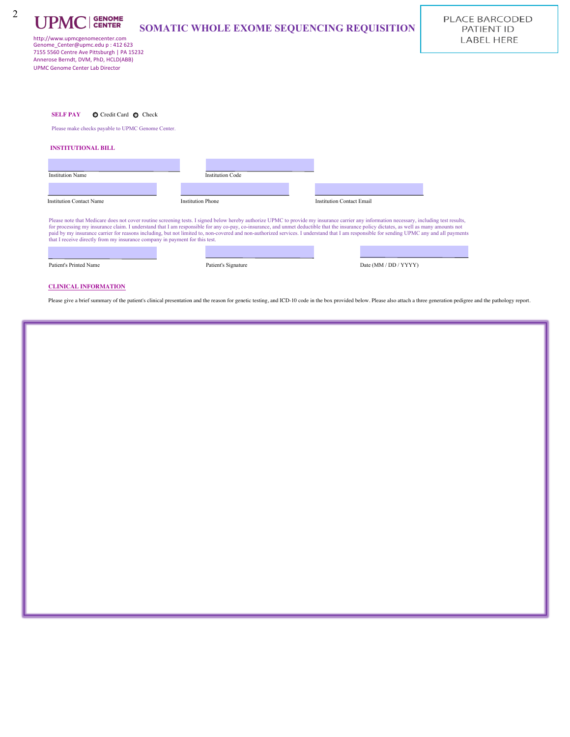

# **SOMATIC WHOLE EXOME SEQUENCING REQUISITION**

PLACE BARCODED PATIENT ID **LABEL HERE** 

http://www.upmcgenomecenter.com Genome\_Center@upmc.edu p : 412 623 7155 5560 Centre Ave Pittsburgh | PA 15232 Annerose Berndt, DVM, PhD, HCLD(ABB) UPMC Genome Center Lab Director

Please make checks payable to UPMC Genome Center.

### **INSTITUTIONAL BILL**

| <b>Institution Name</b>         | <b>Institution Code</b>  |                           |  |
|---------------------------------|--------------------------|---------------------------|--|
|                                 |                          |                           |  |
| <b>Institution Contact Name</b> | <b>Institution Phone</b> | Institution Contact Email |  |

eluding test results, for processing my insurance claim. I understand that I am responsible for any co-pay, co-insurance, and unmet deductible that the insurance policy dictates, as well as many amounts not paid by approach and and and not limited to, not limited to, non-covered and non-covered services. I understand that I am responsible for sensors and all payments that I receive directly from my insurance company in payment for this test.

Patient's Printed Name Patient's Signature Patient's Signature Date (MM / DD / YYYY)

## **CLINICAL INFORMATION**

Please give a brief summary of the patient's clinical presentation and the reason for genetic testing, and ICD-10 code in the box provided below. Please also attach a three generation pedigree and the pathology report.